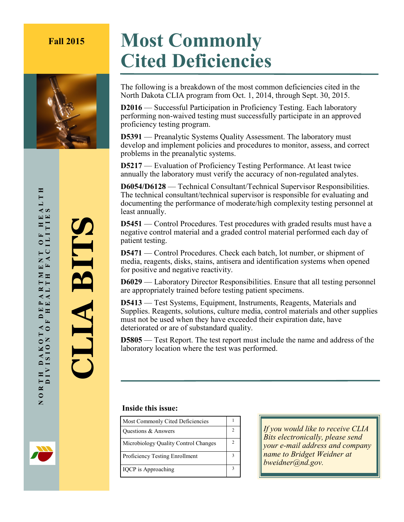# **Fall 2015 Most Commonly Cited Deficiencies**

The following is a breakdown of the most common deficiencies cited in the North Dakota CLIA program from Oct. 1, 2014, through Sept. 30, 2015.

**D2016** — Successful Participation in Proficiency Testing. Each laboratory performing non-waived testing must successfully participate in an approved proficiency testing program.

**D5391** — Preanalytic Systems Quality Assessment. The laboratory must develop and implement policies and procedures to monitor, assess, and correct problems in the preanalytic systems.

**D5217** — Evaluation of Proficiency Testing Performance. At least twice annually the laboratory must verify the accuracy of non-regulated analytes.

**D6054/D6128** — Technical Consultant/Technical Supervisor Responsibilities. The technical consultant/technical supervisor is responsible for evaluating and documenting the performance of moderate/high complexity testing personnel at least annually.

**D5451** — Control Procedures. Test procedures with graded results must have a negative control material and a graded control material performed each day of patient testing.

**D5471** — Control Procedures. Check each batch, lot number, or shipment of media, reagents, disks, stains, antisera and identification systems when opened for positive and negative reactivity.

**D6029** — Laboratory Director Responsibilities. Ensure that all testing personnel are appropriately trained before testing patient specimens.

**D5413** — Test Systems, Equipment, Instruments, Reagents, Materials and Supplies. Reagents, solutions, culture media, control materials and other supplies must not be used when they have exceeded their expiration date, have deteriorated or are of substandard quality.

**D5805** — Test Report. The test report must include the name and address of the laboratory location where the test was performed.

#### **Inside this issue:**

| Most Commonly Cited Deficiencies      |    |
|---------------------------------------|----|
| Questions & Answers                   |    |
| Microbiology Quality Control Changes  | C. |
| <b>Proficiency Testing Enrollment</b> |    |
| IQCP is Approaching                   |    |

*If you would like to receive CLIA Bits electronically, please send your e-mail address and company name to Bridget Weidner at bweidner@nd.gov.*

**CLIA** 

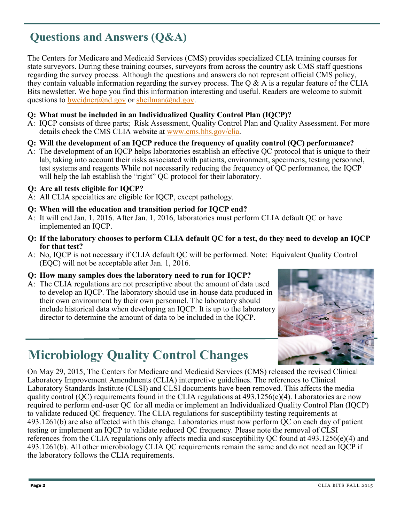# **Questions and Answers (Q&A)**

The Centers for Medicare and Medicaid Services (CMS) provides specialized CLIA training courses for state surveyors. During these training courses, surveyors from across the country ask CMS staff questions regarding the survey process. Although the questions and answers do not represent official CMS policy, they contain valuable information regarding the survey process. The  $\overline{O} \& \overline{A}$  is a regular feature of the CLIA Bits newsletter. We hope you find this information interesting and useful. Readers are welcome to submit questions to [bweidner@nd.gov](mailto:bweidner@nd.gov) or [sheilman@nd.gov.](mailto:sheilman@nd.gov)

#### **Q: What must be included in an Individualized Quality Control Plan (IQCP)?**

A: IQCP consists of three parts; Risk Assessment, Quality Control Plan and Quality Assessment. For more details check the CMS CLIA website at [www.cms.hhs.gov/clia.](http://www.cms.hhs.gov/clia)

## **Q: Will the development of an IQCP reduce the frequency of quality control (QC) performance?**

A: The development of an IQCP helps laboratories establish an effective QC protocol that is unique to their lab, taking into account their risks associated with patients, environment, specimens, testing personnel, test systems and reagents While not necessarily reducing the frequency of QC performance, the IQCP will help the lab establish the "right" QC protocol for their laboratory.

### **Q: Are all tests eligible for IQCP?**

A: All CLIA specialties are eligible for IQCP, except pathology.

### **Q: When will the education and transition period for IQCP end?**

- A: It will end Jan. 1, 2016. After Jan. 1, 2016, laboratories must perform CLIA default QC or have implemented an IQCP.
- **Q: If the laboratory chooses to perform CLIA default QC for a test, do they need to develop an IQCP for that test?**
- A: No, IQCP is not necessary if CLIA default QC will be performed. Note: Equivalent Quality Control (EQC) will not be acceptable after Jan. 1, 2016.

#### **Q: How many samples does the laboratory need to run for IQCP?**

A: The CLIA regulations are not prescriptive about the amount of data used to develop an IQCP. The laboratory should use in-house data produced in their own environment by their own personnel. The laboratory should include historical data when developing an IQCP. It is up to the laboratory director to determine the amount of data to be included in the IQCP.



# **Microbiology Quality Control Changes**

On May 29, 2015, The Centers for Medicare and Medicaid Services (CMS) released the revised Clinical Laboratory Improvement Amendments (CLIA) interpretive guidelines. The references to Clinical Laboratory Standards Institute (CLSI) and CLSI documents have been removed. This affects the media quality control (QC) requirements found in the CLIA regulations at  $493.1256(e)(4)$ . Laboratories are now required to perform end-user QC for all media or implement an Individualized Quality Control Plan (IQCP) to validate reduced QC frequency. The CLIA regulations for susceptibility testing requirements at 493.1261(b) are also affected with this change. Laboratories must now perform QC on each day of patient testing or implement an IQCP to validate reduced QC frequency. Please note the removal of CLSI references from the CLIA regulations only affects media and susceptibility QC found at 493.1256(e)(4) and 493.1261(b). All other microbiology CLIA QC requirements remain the same and do not need an IQCP if the laboratory follows the CLIA requirements.